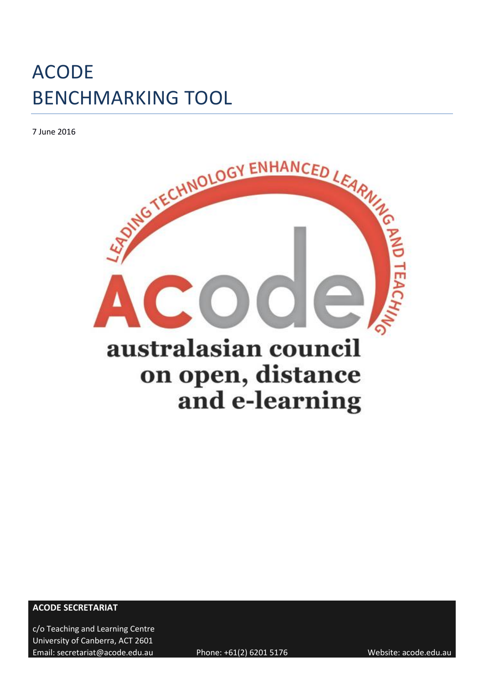7 June 2016



**ACODE SECRETARIAT**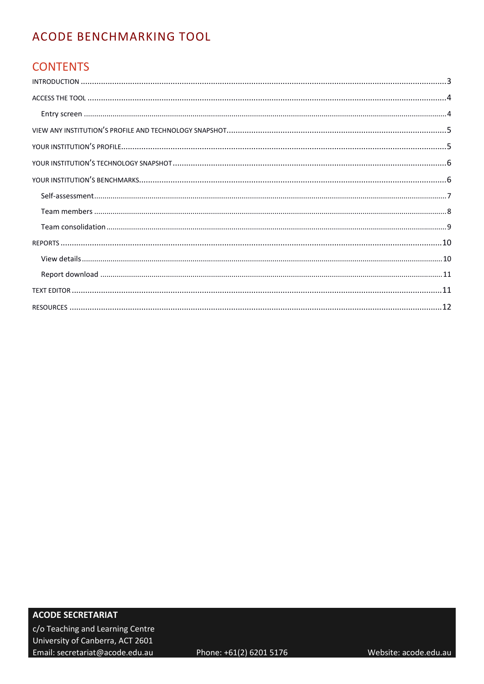## **CONTENTS**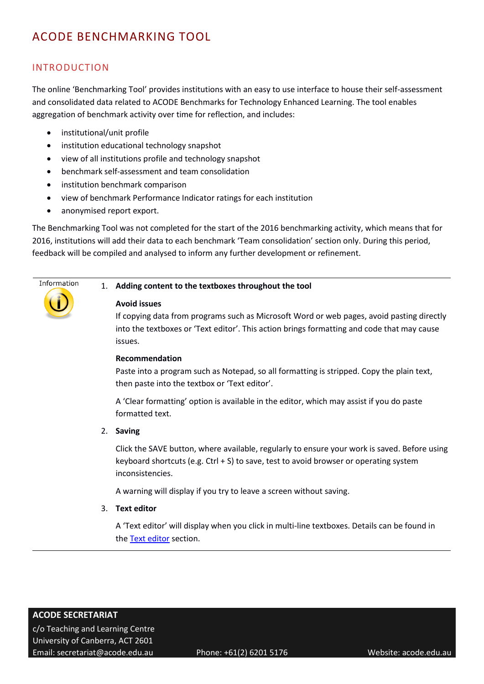#### <span id="page-2-0"></span>INTRODUCTION

The online 'Benchmarking Tool' provides institutions with an easy to use interface to house their self-assessment and consolidated data related to ACODE Benchmarks for Technology Enhanced Learning. The tool enables aggregation of benchmark activity over time for reflection, and includes:

- institutional/unit profile
- institution educational technology snapshot
- view of all institutions profile and technology snapshot
- benchmark self-assessment and team consolidation
- institution benchmark comparison
- view of benchmark Performance Indicator ratings for each institution
- anonymised report export.

The Benchmarking Tool was not completed for the start of the 2016 benchmarking activity, which means that for 2016, institutions will add their data to each benchmark 'Team consolidation' section only. During this period, feedback will be compiled and analysed to inform any further development or refinement.

#### Information

#### 1. **Adding content to the textboxes throughout the tool**

#### **Avoid issues**

If copying data from programs such as Microsoft Word or web pages, avoid pasting directly into the textboxes or 'Text editor'. This action brings formatting and code that may cause issues.

#### **Recommendation**

Paste into a program such as Notepad, so all formatting is stripped. Copy the plain text, then paste into the textbox or 'Text editor'.

A 'Clear formatting' option is available in the editor, which may assist if you do paste formatted text.

2. **Saving** 

Click the SAVE button, where available, regularly to ensure your work is saved. Before using keyboard shortcuts (e.g. Ctrl + S) to save, test to avoid browser or operating system inconsistencies.

A warning will display if you try to leave a screen without saving.

3. **Text editor** 

A 'Text editor' will display when you click in multi-line textboxes. Details can be found in the Text [editor](#page-10-1) section.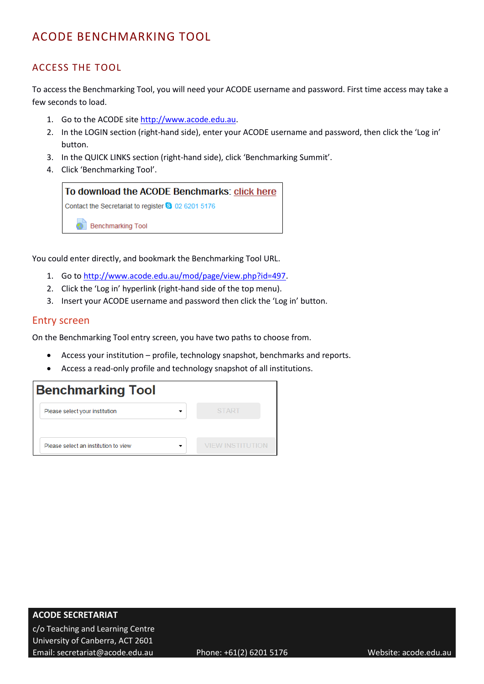## <span id="page-3-0"></span>ACCESS THE TOOL

To access the Benchmarking Tool, you will need your ACODE username and password. First time access may take a few seconds to load.

- 1. Go to the ACODE site [http://www.acode.edu.au.](http://www.acode.edu.au/)
- 2. In the LOGIN section (right-hand side), enter your ACODE username and password, then click the 'Log in' button.
- 3. In the QUICK LINKS section (right-hand side), click 'Benchmarking Summit'.
- 4. Click 'Benchmarking Tool'.



You could enter directly, and bookmark the Benchmarking Tool URL.

- 1. Go to [http://www.acode.edu.au/mod/page/view.php?id=497.](http://www.acode.edu.au/mod/page/view.php?id=497)
- 2. Click the 'Log in' hyperlink (right-hand side of the top menu).
- 3. Insert your ACODE username and password then click the 'Log in' button.

#### <span id="page-3-1"></span>Entry screen

On the Benchmarking Tool entry screen, you have two paths to choose from.

- Access your institution profile, technology snapshot, benchmarks and reports.
- Access a read-only profile and technology snapshot of all institutions.

| <b>Benchmarking Tool</b>             |                  |
|--------------------------------------|------------------|
| Please select your institution       | <b>START</b>     |
| Please select an institution to view | VIEW INSTITUTION |
|                                      |                  |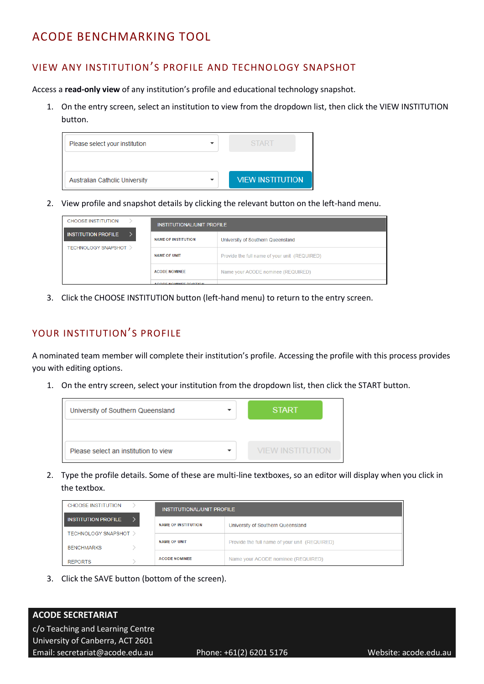## <span id="page-4-0"></span>VIEW ANY INSTITUTION'S PROFILE AND TECHNOLOGY SNAPSHOT

Access a **read-only view** of any institution's profile and educational technology snapshot.

1. On the entry screen, select an institution to view from the dropdown list, then click the VIEW INSTITUTION button.

| Please select your institution        | <b>START</b>            |
|---------------------------------------|-------------------------|
| <b>Australian Catholic University</b> | <b>VIEW INSTITUTION</b> |

2. View profile and snapshot details by clicking the relevant button on the left-hand menu.

| <b>CHOOSE INSTITUTION</b>       | INSTITUTIONAL/UNIT PROFILE |                                               |  |  |
|---------------------------------|----------------------------|-----------------------------------------------|--|--|
| <b>INSTITUTION PROFILE</b>      | <b>NAME OF INSTITUTION</b> | University of Southern Queensland             |  |  |
| <b>TECHNOLOGY SNAPSHOT &gt;</b> |                            |                                               |  |  |
|                                 | <b>NAME OF UNIT</b>        | Provide the full name of your unit (REQUIRED) |  |  |
|                                 | <b>ACODE NOMINEE</b>       | Name your ACODE nominee (REQUIRED)            |  |  |
|                                 | ACODE MOMINEE BOSITION     |                                               |  |  |

3. Click the CHOOSE INSTITUTION button (left-hand menu) to return to the entry screen.

## <span id="page-4-1"></span>YOUR INSTITUTION'S PROFILE

A nominated team member will complete their institution's profile. Accessing the profile with this process provides you with editing options.

1. On the entry screen, select your institution from the dropdown list, then click the START button.



2. Type the profile details. Some of these are multi-line textboxes, so an editor will display when you click in the textbox.

| <b>CHOOSE INSTITUTION</b>                  | INSTITUTIONAL/UNIT PROFILE |                                               |  |
|--------------------------------------------|----------------------------|-----------------------------------------------|--|
| <b>INSTITUTION PROFILE</b>                 | <b>NAME OF INSTITUTION</b> | University of Southern Queensland             |  |
| TECHNOLOGY SNAPSHOT ><br><b>BENCHMARKS</b> | <b>NAME OF UNIT</b>        | Provide the full name of your unit (REQUIRED) |  |
| <b>REPORTS</b>                             | <b>ACODE NOMINEE</b>       | Name your ACODE nominee (REQUIRED)            |  |

3. Click the SAVE button (bottom of the screen).

## **ACODE SECRETARIAT**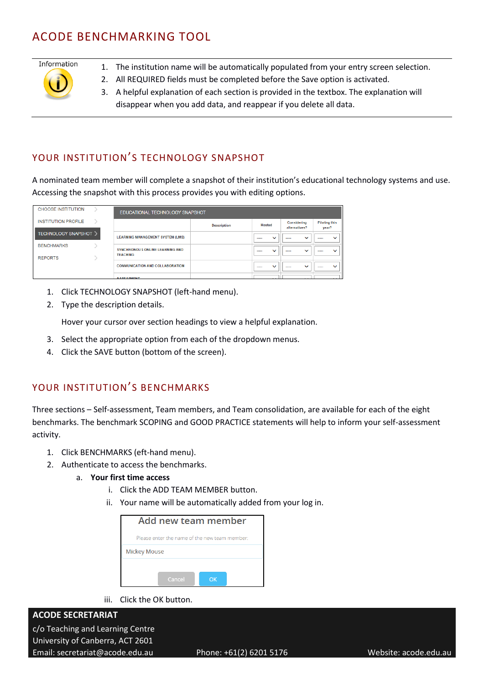# Information

- 1. The institution name will be automatically populated from your entry screen selection.
- 2. All REQUIRED fields must be completed before the Save option is activated.
- 3. A helpful explanation of each section is provided in the textbox. The explanation will disappear when you add data, and reappear if you delete all data.

## <span id="page-5-0"></span>YOUR INSTITUTION'S TECHNOLOGY SNAPSHOT

A nominated team member will complete a snapshot of their institution's educational technology systems and use. Accessing the snapshot with this process provides you with editing options.

| <b>CHOOSE INSTITUTION</b>           |                                                    | EDUCATIONAL TECHNOLOGY SNAPSHOT |                                          |                              |                                   |
|-------------------------------------|----------------------------------------------------|---------------------------------|------------------------------------------|------------------------------|-----------------------------------|
| <b>INSTITUTION PROFILE</b>          |                                                    | <b>Description</b>              | <b>Hosted</b>                            | Considering<br>alternatives? | <b>Piloting this</b><br>year?     |
| <b>TECHNOLOGY SNAPSHOT</b>          | <b>LEARNING MANAGEMENT SYSTEM (LMS)</b>            |                                 | $\checkmark$<br>$\overline{\phantom{a}}$ | $\checkmark$<br>$\sim$       | $\overline{\phantom{0}}$<br>----- |
| <b>BENCHMARKS</b><br><b>REPORTS</b> | SYNCHRONOUS ONLINE LEARNING AND<br><b>TEACHING</b> |                                 | $\checkmark$<br>----                     | $\checkmark$<br>----         | $\checkmark$<br>$-$               |
|                                     | <b>COMMUNICATION AND COLLABORATION</b>             |                                 | $\checkmark$<br>$\sim$                   | $\checkmark$<br>$\sim$       | -----                             |
|                                     | <b>ACCECCMENT</b>                                  |                                 |                                          |                              |                                   |

- 1. Click TECHNOLOGY SNAPSHOT (left-hand menu).
- 2. Type the description details.

Hover your cursor over section headings to view a helpful explanation.

- 3. Select the appropriate option from each of the dropdown menus.
- 4. Click the SAVE button (bottom of the screen).

## <span id="page-5-1"></span>YOUR INSTITUTION'S BENCHMARKS

Three sections – Self-assessment, Team members, and Team consolidation, are available for each of the eight benchmarks. The benchmark SCOPING and GOOD PRACTICE statements will help to inform your self-assessment activity.

- 1. Click BENCHMARKS (eft-hand menu).
- 2. Authenticate to access the benchmarks.
	- a. **Your first time access**
		- i. Click the ADD TEAM MEMBER button.
		- ii. Your name will be automatically added from your log in.

| Add new team member                           |  |  |  |  |
|-----------------------------------------------|--|--|--|--|
| Please enter the name of the new team member: |  |  |  |  |
| <b>Mickey Mouse</b>                           |  |  |  |  |
|                                               |  |  |  |  |
| Cancel<br>ΩK                                  |  |  |  |  |

iii. Click the OK button.

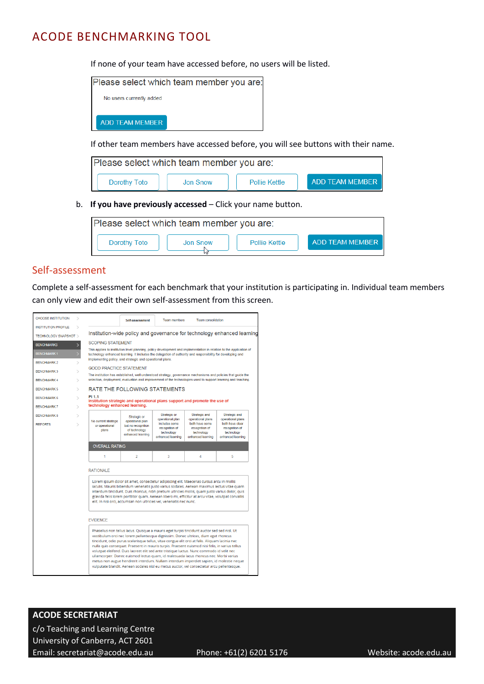If none of your team have accessed before, no users will be listed.

|                          | Please select which team member you are |
|--------------------------|-----------------------------------------|
| No users currently added |                                         |
|                          |                                         |
| ADD TEAM MEMBER          |                                         |

If other team members have accessed before, you will see buttons with their name.

| Please select which team member you are: |          |                      |                 |  |
|------------------------------------------|----------|----------------------|-----------------|--|
| Dorothy Toto                             | Jon Snow | <b>Pollie Kettle</b> | ADD TEAM MEMBER |  |

b. **If you have previously accessed** – Click your name button.

| Please select which team member you are: |          |               |                 |
|------------------------------------------|----------|---------------|-----------------|
| Dorothy Toto                             | Jon Snow | Pollie Kettle | ADD TFAM MEMBER |
|                                          |          |               |                 |

#### <span id="page-6-0"></span>Self-assessment

Complete a self-assessment for each benchmark that your institution is participating in. Individual team members can only view and edit their own self-assessment from this screen.

| <b>CHOOSE INSTITUTION</b><br>5                                                                                                                                                                                                                                                                                                                                                                                                                                                                                                                                                                                                                                                                                                                                                                                                                                                                                                                                                                                                                                                                                                                                                                                                                                                   |                                                 | Self-assessment                                                                                                                                                                                                                    | <b>Team members</b>                                                | <b>Team consolidation</b>                                           |                                                                      |  |
|----------------------------------------------------------------------------------------------------------------------------------------------------------------------------------------------------------------------------------------------------------------------------------------------------------------------------------------------------------------------------------------------------------------------------------------------------------------------------------------------------------------------------------------------------------------------------------------------------------------------------------------------------------------------------------------------------------------------------------------------------------------------------------------------------------------------------------------------------------------------------------------------------------------------------------------------------------------------------------------------------------------------------------------------------------------------------------------------------------------------------------------------------------------------------------------------------------------------------------------------------------------------------------|-------------------------------------------------|------------------------------------------------------------------------------------------------------------------------------------------------------------------------------------------------------------------------------------|--------------------------------------------------------------------|---------------------------------------------------------------------|----------------------------------------------------------------------|--|
| <b>INSTITUTION PROFILE</b>                                                                                                                                                                                                                                                                                                                                                                                                                                                                                                                                                                                                                                                                                                                                                                                                                                                                                                                                                                                                                                                                                                                                                                                                                                                       |                                                 |                                                                                                                                                                                                                                    |                                                                    |                                                                     |                                                                      |  |
| Institution-wide policy and governance for technology enhanced learning<br><b>TECHNOLOGY SNAPSHOT &gt;</b>                                                                                                                                                                                                                                                                                                                                                                                                                                                                                                                                                                                                                                                                                                                                                                                                                                                                                                                                                                                                                                                                                                                                                                       |                                                 |                                                                                                                                                                                                                                    |                                                                    |                                                                     |                                                                      |  |
| <b>BENCHMARKS</b>                                                                                                                                                                                                                                                                                                                                                                                                                                                                                                                                                                                                                                                                                                                                                                                                                                                                                                                                                                                                                                                                                                                                                                                                                                                                | <b>SCOPING STATEMENT</b>                        |                                                                                                                                                                                                                                    |                                                                    |                                                                     |                                                                      |  |
| <b>BENCHMARK1</b>                                                                                                                                                                                                                                                                                                                                                                                                                                                                                                                                                                                                                                                                                                                                                                                                                                                                                                                                                                                                                                                                                                                                                                                                                                                                |                                                 | This applies to institution level planning, policy development and implementation in relation to the application of<br>technology enhanced learning. It includes the delegation of authority and responsibility for developing and |                                                                    |                                                                     |                                                                      |  |
| <b>BENCHMARK 2</b>                                                                                                                                                                                                                                                                                                                                                                                                                                                                                                                                                                                                                                                                                                                                                                                                                                                                                                                                                                                                                                                                                                                                                                                                                                                               |                                                 | implementing policy, and strategic and operational plans.                                                                                                                                                                          |                                                                    |                                                                     |                                                                      |  |
| <b>BENCHMARK 3</b>                                                                                                                                                                                                                                                                                                                                                                                                                                                                                                                                                                                                                                                                                                                                                                                                                                                                                                                                                                                                                                                                                                                                                                                                                                                               | <b>GOOD PRACTICE STATEMENT</b>                  |                                                                                                                                                                                                                                    |                                                                    |                                                                     |                                                                      |  |
| <b>BENCHMARK 4</b><br>$\geq$                                                                                                                                                                                                                                                                                                                                                                                                                                                                                                                                                                                                                                                                                                                                                                                                                                                                                                                                                                                                                                                                                                                                                                                                                                                     |                                                 | The institution has established, well understood strategy, governance mechanisms and policies that quide the<br>selection, deployment, evaluation and improvement of the technologies used to support learning and teaching,       |                                                                    |                                                                     |                                                                      |  |
| <b>BENCHMARK 5</b><br>$\geq$                                                                                                                                                                                                                                                                                                                                                                                                                                                                                                                                                                                                                                                                                                                                                                                                                                                                                                                                                                                                                                                                                                                                                                                                                                                     |                                                 | RATE THE FOLLOWING STATEMENTS                                                                                                                                                                                                      |                                                                    |                                                                     |                                                                      |  |
| <b>BENCHMARK 6</b><br>$\mathcal{L}$                                                                                                                                                                                                                                                                                                                                                                                                                                                                                                                                                                                                                                                                                                                                                                                                                                                                                                                                                                                                                                                                                                                                                                                                                                              | PI 1.1                                          | Institution strategic and operational plans support and promote the use of                                                                                                                                                         |                                                                    |                                                                     |                                                                      |  |
| <b>BENCHMARK 7</b>                                                                                                                                                                                                                                                                                                                                                                                                                                                                                                                                                                                                                                                                                                                                                                                                                                                                                                                                                                                                                                                                                                                                                                                                                                                               | technology enhanced learning.                   |                                                                                                                                                                                                                                    |                                                                    |                                                                     |                                                                      |  |
| <b>BENCHMARK 8</b>                                                                                                                                                                                                                                                                                                                                                                                                                                                                                                                                                                                                                                                                                                                                                                                                                                                                                                                                                                                                                                                                                                                                                                                                                                                               |                                                 | Strategic or                                                                                                                                                                                                                       | Strategic or<br>operational plan                                   | Strategic and<br>operational plans                                  | Strategic and<br>operational plans                                   |  |
| <b>REPORTS</b>                                                                                                                                                                                                                                                                                                                                                                                                                                                                                                                                                                                                                                                                                                                                                                                                                                                                                                                                                                                                                                                                                                                                                                                                                                                                   | No current strategic<br>or operational<br>plans | operational plan<br>but no recognition<br>of technology<br>enhanced learning                                                                                                                                                       | includes some<br>recognition of<br>technology<br>enhanced learning | both have some<br>recognition of<br>technology<br>enhanced learning | both have clear<br>recognition of<br>technology<br>enhanced learning |  |
|                                                                                                                                                                                                                                                                                                                                                                                                                                                                                                                                                                                                                                                                                                                                                                                                                                                                                                                                                                                                                                                                                                                                                                                                                                                                                  | <b>OVERALL RATING</b>                           |                                                                                                                                                                                                                                    |                                                                    |                                                                     |                                                                      |  |
|                                                                                                                                                                                                                                                                                                                                                                                                                                                                                                                                                                                                                                                                                                                                                                                                                                                                                                                                                                                                                                                                                                                                                                                                                                                                                  | 1                                               | $\overline{2}$                                                                                                                                                                                                                     | 3                                                                  | Δ                                                                   | 5                                                                    |  |
| <b>RATIONALE</b><br>Lorem ipsum dolor sit amet, consectetur adipiscing elit. Maecenas cursus arcu in mollis<br>iaculis. Mauris bibendum venenatis justo varius sodales. Aenean maximus lectus vitae quam<br>interdum tincidunt. Duis rhoncus, nibh pretium ultricies mollis, quam justo varius dolor, quis<br>gravida felis lorem porttitor quam. Aenean libero mi, efficitur at arcu vitae, volutpat convallis<br>elit. In nisi orci, accumsan non ultricies vel, venenatis nec nunc.<br><b>EVIDENCE</b><br>Phasellus non tellus lacus. Quisque a mauris eget turpis tincidunt auctor sed sed nisl. Ut<br>vestibulum orci nec lorem pellentesque dignissim. Donec ultrices, diam eget rhoncus<br>tincidunt, odio purus scelerisque tellus, vitae congue elit orci at felis. Aliquam lacinia nec<br>nulla quis consequat. Praesent in mauris turpis. Praesent euismod nisi felis, in varius tellus<br>volutpat eleifend. Duis laoreet elit sed ante tristique luctus. Nunc commodo id velit nec<br>ullamcorper. Donec euismod lectus quam, id malesuada lacus rhoncus nec. Morbi varius<br>metus non augue hendrerit interdum. Nullam interdum imperdiet sapien, id molestie neque<br>vulputate blandit. Aenean sodales nisl eu metus auctor, vel consectetur arcu pellentesque. |                                                 |                                                                                                                                                                                                                                    |                                                                    |                                                                     |                                                                      |  |

#### **ACODE SECRETARIAT**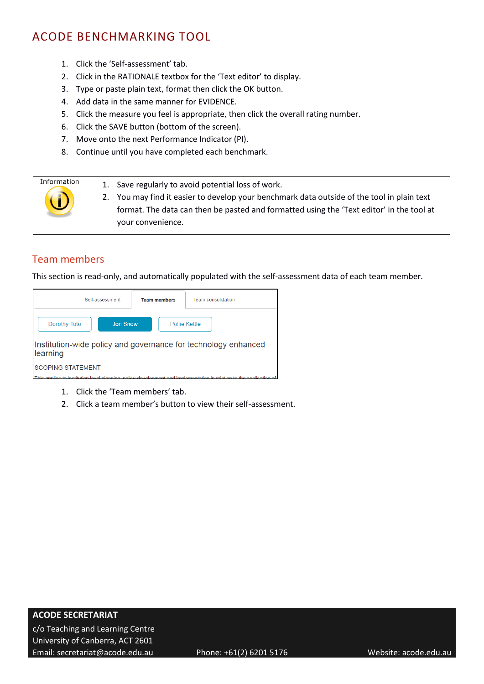- 1. Click the 'Self-assessment' tab.
- 2. Click in the RATIONALE textbox for the 'Text editor' to display.
- 3. Type or paste plain text, format then click the OK button.
- 4. Add data in the same manner for EVIDENCE.
- 5. Click the measure you feel is appropriate, then click the overall rating number.
- 6. Click the SAVE button (bottom of the screen).
- 7. Move onto the next Performance Indicator (PI).
- 8. Continue until you have completed each benchmark.



1. Save regularly to avoid potential loss of work.

2. You may find it easier to develop your benchmark data outside of the tool in plain text format. The data can then be pasted and formatted using the 'Text editor' in the tool at your convenience.

#### <span id="page-7-0"></span>Team members

This section is read-only, and automatically populated with the self-assessment data of each team member.

| Self-assessment                                                                                                     | <b>Team members</b> | Team consolidation |  |  |  |
|---------------------------------------------------------------------------------------------------------------------|---------------------|--------------------|--|--|--|
| <b>Jon Snow</b><br>Dorothy Toto                                                                                     |                     | Pollie Kettle      |  |  |  |
| Institution-wide policy and governance for technology enhanced<br>learning                                          |                     |                    |  |  |  |
| <b>SCOPING STATEMENT</b>                                                                                            |                     |                    |  |  |  |
| This applies to institution level planning, policy development and implementation in relation to the application of |                     |                    |  |  |  |

- 1. Click the 'Team members' tab.
- 2. Click a team member's button to view their self-assessment.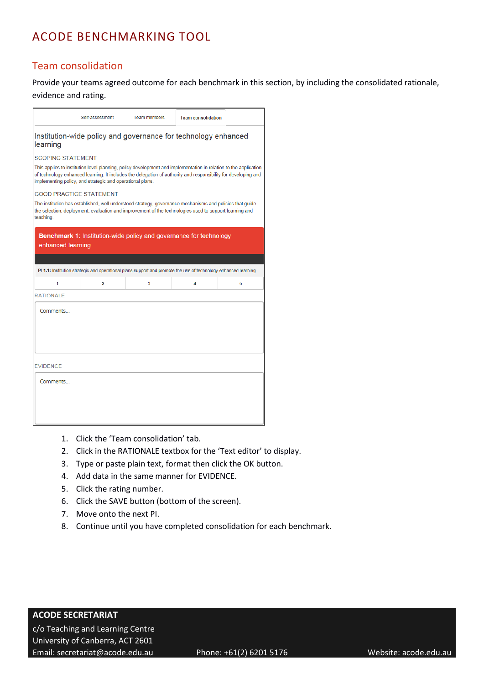## <span id="page-8-0"></span>Team consolidation

Provide your teams agreed outcome for each benchmark in this section, by including the consolidated rationale, evidence and rating.

|                                                           | Self-assessment                                                                                                  | <b>Team members</b>                                                                                                                                                                                                                | <b>Team consolidation</b> |   |  |  |  |  |
|-----------------------------------------------------------|------------------------------------------------------------------------------------------------------------------|------------------------------------------------------------------------------------------------------------------------------------------------------------------------------------------------------------------------------------|---------------------------|---|--|--|--|--|
| learning                                                  |                                                                                                                  | Institution-wide policy and governance for technology enhanced                                                                                                                                                                     |                           |   |  |  |  |  |
| <b>SCOPING STATEMENT</b>                                  |                                                                                                                  |                                                                                                                                                                                                                                    |                           |   |  |  |  |  |
| implementing policy, and strategic and operational plans. |                                                                                                                  | This applies to institution level planning, policy development and implementation in relation to the application<br>of technology enhanced learning. It includes the delegation of authority and responsibility for developing and |                           |   |  |  |  |  |
| <b>GOOD PRACTICE STATEMENT</b>                            |                                                                                                                  |                                                                                                                                                                                                                                    |                           |   |  |  |  |  |
| teaching.                                                 |                                                                                                                  | The institution has established, well understood strategy, governance mechanisms and policies that guide<br>the selection, deployment, evaluation and improvement of the technologies used to support learning and                 |                           |   |  |  |  |  |
| enhanced learning                                         |                                                                                                                  | <b>Benchmark 1:</b> Institution-wide policy and governance for technology                                                                                                                                                          |                           |   |  |  |  |  |
|                                                           |                                                                                                                  |                                                                                                                                                                                                                                    |                           |   |  |  |  |  |
|                                                           | PI 1.1: Institution strategic and operational plans support and promote the use of technology enhanced learning. |                                                                                                                                                                                                                                    |                           |   |  |  |  |  |
| 1                                                         | 2                                                                                                                | 3                                                                                                                                                                                                                                  | 4                         | 5 |  |  |  |  |
| <b>RATIONALE</b>                                          |                                                                                                                  |                                                                                                                                                                                                                                    |                           |   |  |  |  |  |
| Comments                                                  |                                                                                                                  |                                                                                                                                                                                                                                    |                           |   |  |  |  |  |
| <b>EVIDENCE</b>                                           |                                                                                                                  |                                                                                                                                                                                                                                    |                           |   |  |  |  |  |
| Comments                                                  |                                                                                                                  |                                                                                                                                                                                                                                    |                           |   |  |  |  |  |

- 1. Click the 'Team consolidation' tab.
- 2. Click in the RATIONALE textbox for the 'Text editor' to display.
- 3. Type or paste plain text, format then click the OK button.
- 4. Add data in the same manner for EVIDENCE.
- 5. Click the rating number.
- 6. Click the SAVE button (bottom of the screen).
- 7. Move onto the next PI.
- 8. Continue until you have completed consolidation for each benchmark.

#### **ACODE SECRETARIAT**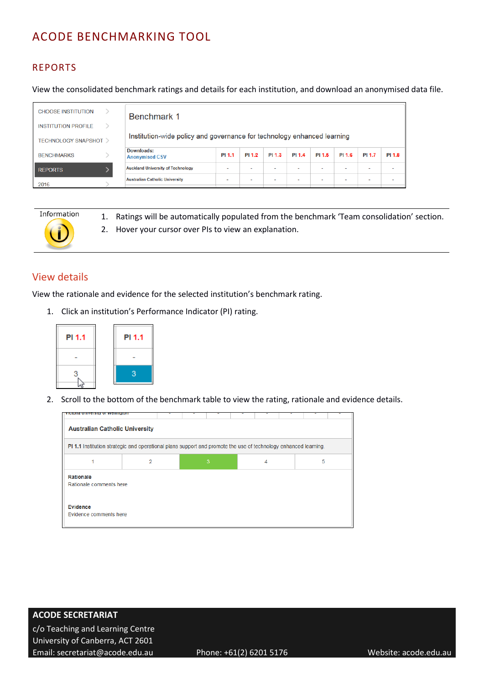## <span id="page-9-0"></span>REPORTS

View the consolidated benchmark ratings and details for each institution, and download an anonymised data file.

| <b>CHOOSE INSTITUTION</b>  | <b>Benchmark 1</b>                                                      |                          |                          |                          |        |                          |        |                          |                          |
|----------------------------|-------------------------------------------------------------------------|--------------------------|--------------------------|--------------------------|--------|--------------------------|--------|--------------------------|--------------------------|
| <b>INSTITUTION PROFILE</b> |                                                                         |                          |                          |                          |        |                          |        |                          |                          |
| <b>TECHNOLOGY SNAPSHOT</b> | Institution-wide policy and governance for technology enhanced learning |                          |                          |                          |        |                          |        |                          |                          |
| <b>BENCHMARKS</b>          | Downloads:<br><b>Anonymised CSV</b>                                     | PI 1.1                   | PI 1.2                   | PI 1.3                   | PI 1.4 | PI 1.5                   | PI 1.6 | PI 1.7                   | PI 1.8                   |
| <b>REPORTS</b>             | <b>Auckland University of Technology</b>                                | $\overline{\phantom{a}}$ |                          |                          |        | $\overline{\phantom{a}}$ | $\sim$ |                          | $\overline{\phantom{a}}$ |
| 2016                       | <b>Australian Catholic University</b>                                   | $\overline{\phantom{a}}$ | $\overline{\phantom{a}}$ | $\overline{\phantom{a}}$ |        | $\overline{\phantom{a}}$ |        | $\overline{\phantom{a}}$ | $\overline{\phantom{a}}$ |



1. Ratings will be automatically populated from the benchmark 'Team consolidation' section. 2. Hover your cursor over PIs to view an explanation.

#### <span id="page-9-1"></span>View details

View the rationale and evidence for the selected institution's benchmark rating.

1. Click an institution's Performance Indicator (PI) rating.



2. Scroll to the bottom of the benchmark table to view the rating, rationale and evidence details.

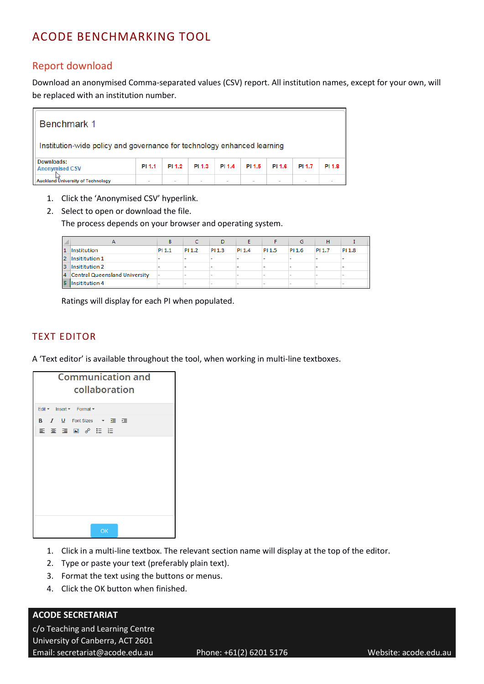## <span id="page-10-0"></span>Report download

Download an anonymised Comma-separated values (CSV) report. All institution names, except for your own, will be replaced with an institution number.



- 1. Click the 'Anonymised CSV' hyperlink.
- 2. Select to open or download the file.

The process depends on your browser and operating system.

|                | А                               | В      |        | D      |        |        | G      | н      |        |
|----------------|---------------------------------|--------|--------|--------|--------|--------|--------|--------|--------|
| 1              | Institution                     | PI 1.1 | PI 1.2 | PI 1.3 | PI 1.4 | PI 1.5 | PI 1.6 | PI 1.7 | PI 1.8 |
| $\overline{2}$ | Insititution 1                  |        |        |        |        |        |        |        |        |
| з              | Insititution 2                  |        |        |        |        |        |        |        |        |
|                | 4 Central Queensland University | -      |        |        |        |        |        |        |        |
| 5              | Insititution 4                  |        |        |        |        |        |        |        |        |

Ratings will display for each PI when populated.

#### <span id="page-10-1"></span>TEXT EDITOR

A 'Text editor' is available throughout the tool, when working in multi-line textboxes.

| <b>Communication and</b><br>collaboration   |  |  |  |  |  |
|---------------------------------------------|--|--|--|--|--|
| Edit - Insert - Format -                    |  |  |  |  |  |
| B <i>I</i> U Font Sizes ▼ 查 查<br>■ ■ ■ ● 目目 |  |  |  |  |  |
|                                             |  |  |  |  |  |
|                                             |  |  |  |  |  |
|                                             |  |  |  |  |  |
|                                             |  |  |  |  |  |
|                                             |  |  |  |  |  |
| OK                                          |  |  |  |  |  |

- 1. Click in a multi-line textbox. The relevant section name will display at the top of the editor.
- 2. Type or paste your text (preferably plain text).
- 3. Format the text using the buttons or menus.
- 4. Click the OK button when finished.

#### **ACODE SECRETARIAT**